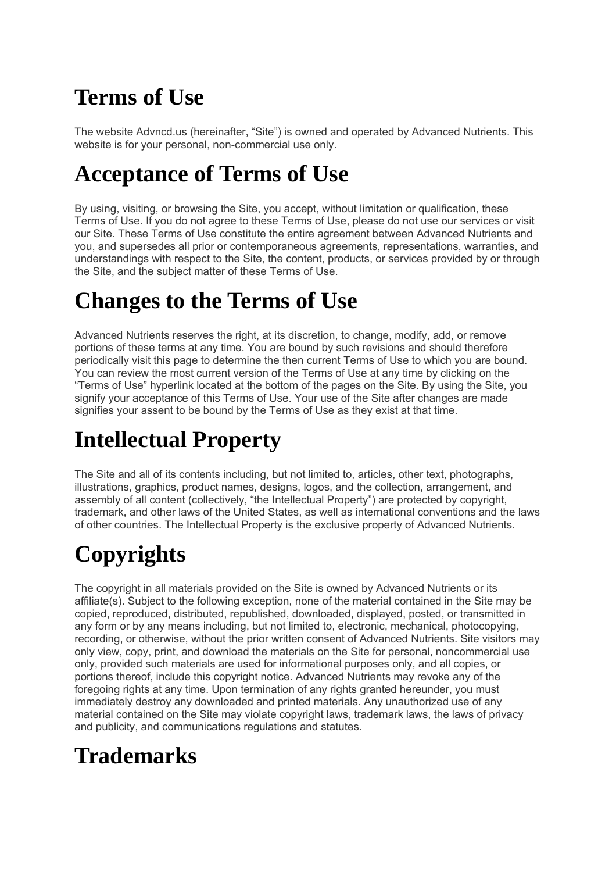## **Terms of Use**

The website Advncd.us (hereinafter, "Site") is owned and operated by Advanced Nutrients. This website is for your personal, non-commercial use only.

#### **Acceptance of Terms of Use**

By using, visiting, or browsing the Site, you accept, without limitation or qualification, these Terms of Use. If you do not agree to these Terms of Use, please do not use our services or visit our Site. These Terms of Use constitute the entire agreement between Advanced Nutrients and you, and supersedes all prior or contemporaneous agreements, representations, warranties, and understandings with respect to the Site, the content, products, or services provided by or through the Site, and the subject matter of these Terms of Use.

#### **Changes to the Terms of Use**

Advanced Nutrients reserves the right, at its discretion, to change, modify, add, or remove portions of these terms at any time. You are bound by such revisions and should therefore periodically visit this page to determine the then current Terms of Use to which you are bound. You can review the most current version of the Terms of Use at any time by clicking on the "Terms of Use" hyperlink located at the bottom of the pages on the Site. By using the Site, you signify your acceptance of this Terms of Use. Your use of the Site after changes are made signifies your assent to be bound by the Terms of Use as they exist at that time.

## **Intellectual Property**

The Site and all of its contents including, but not limited to, articles, other text, photographs, illustrations, graphics, product names, designs, logos, and the collection, arrangement, and assembly of all content (collectively, "the Intellectual Property") are protected by copyright, trademark, and other laws of the United States, as well as international conventions and the laws of other countries. The Intellectual Property is the exclusive property of Advanced Nutrients.

# **Copyrights**

The copyright in all materials provided on the Site is owned by Advanced Nutrients or its affiliate(s). Subject to the following exception, none of the material contained in the Site may be copied, reproduced, distributed, republished, downloaded, displayed, posted, or transmitted in any form or by any means including, but not limited to, electronic, mechanical, photocopying, recording, or otherwise, without the prior written consent of Advanced Nutrients. Site visitors may only view, copy, print, and download the materials on the Site for personal, noncommercial use only, provided such materials are used for informational purposes only, and all copies, or portions thereof, include this copyright notice. Advanced Nutrients may revoke any of the foregoing rights at any time. Upon termination of any rights granted hereunder, you must immediately destroy any downloaded and printed materials. Any unauthorized use of any material contained on the Site may violate copyright laws, trademark laws, the laws of privacy and publicity, and communications regulations and statutes.

### **Trademarks**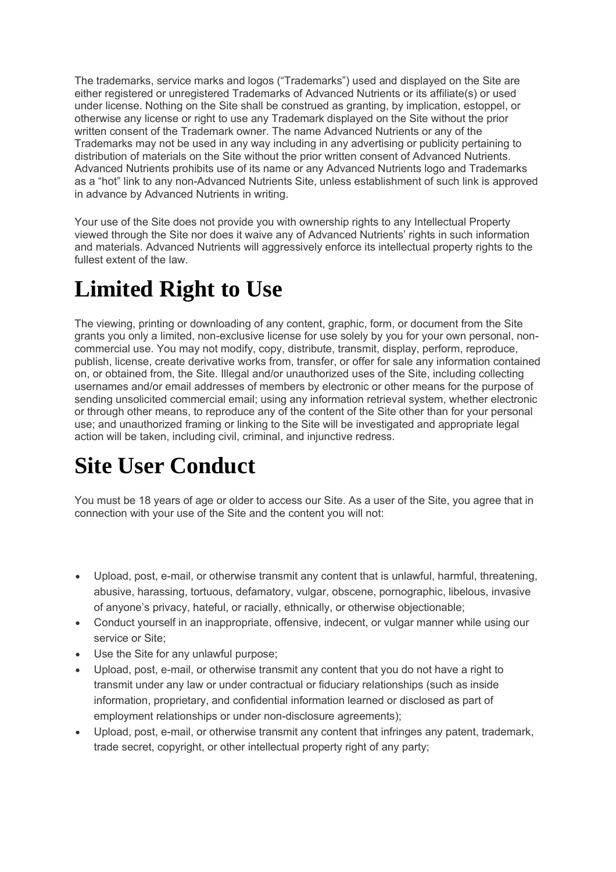The trademarks, service marks and logos ("Trademarks") used and displayed on the Site are either registered or unregistered Trademarks of Advanced Nutrients or its affiliate(s) or used under license. Nothing on the Site shall be construed as granting, by implication, estoppel, or otherwise any license or right to use any Trademark displayed on the Site without the prior written consent of the Trademark owner. The name Advanced Nutrients or any of the Trademarks may not be used in any way including in any advertising or publicity pertaining to distribution of materials on the Site without the prior written consent of Advanced Nutrients. Advanced Nutrients prohibits use of its name or any Advanced Nutrients logo and Trademarks as a "hot" link to any non-Advanced Nutrients Site, unless establishment of such link is approved in advance by Advanced Nutrients in writing.

Your use of the Site does not provide you with ownership rights to any Intellectual Property viewed through the Site nor does it waive any of Advanced Nutrients' rights in such information and materials. Advanced Nutrients will aggressively enforce its intellectual property rights to the fullest extent of the law.

### **Limited Right to Use**

The viewing, printing or downloading of any content, graphic, form, or document from the Site grants you only a limited, non-exclusive license for use solely by you for your own personal, noncommercial use. You may not modify, copy, distribute, transmit, display, perform, reproduce, publish, license, create derivative works from, transfer, or offer for sale any information contained on, or obtained from, the Site. Illegal and/or unauthorized uses of the Site, including collecting usernames and/or email addresses of members by electronic or other means for the purpose of sending unsolicited commercial email; using any information retrieval system, whether electronic or through other means, to reproduce any of the content of the Site other than for your personal use; and unauthorized framing or linking to the Site will be investigated and appropriate legal action will be taken, including civil, criminal, and injunctive redress.

### **Site User Conduct**

You must be 18 years of age or older to access our Site. As a user of the Site, you agree that in connection with your use of the Site and the content you will not:

- Upload, post, e-mail, or otherwise transmit any content that is unlawful, harmful, threatening, abusive, harassing, tortuous, defamatory, vulgar, obscene, pornographic, libelous, invasive of anyone's privacy, hateful, or racially, ethnically, or otherwise objectionable;
- Conduct yourself in an inappropriate, offensive, indecent, or vulgar manner while using our service or Site;
- Use the Site for any unlawful purpose;
- Upload, post, e-mail, or otherwise transmit any content that you do not have a right to transmit under any law or under contractual or fiduciary relationships (such as inside information, proprietary, and confidential information learned or disclosed as part of employment relationships or under non-disclosure agreements);
- Upload, post, e-mail, or otherwise transmit any content that infringes any patent, trademark, trade secret, copyright, or other intellectual property right of any party;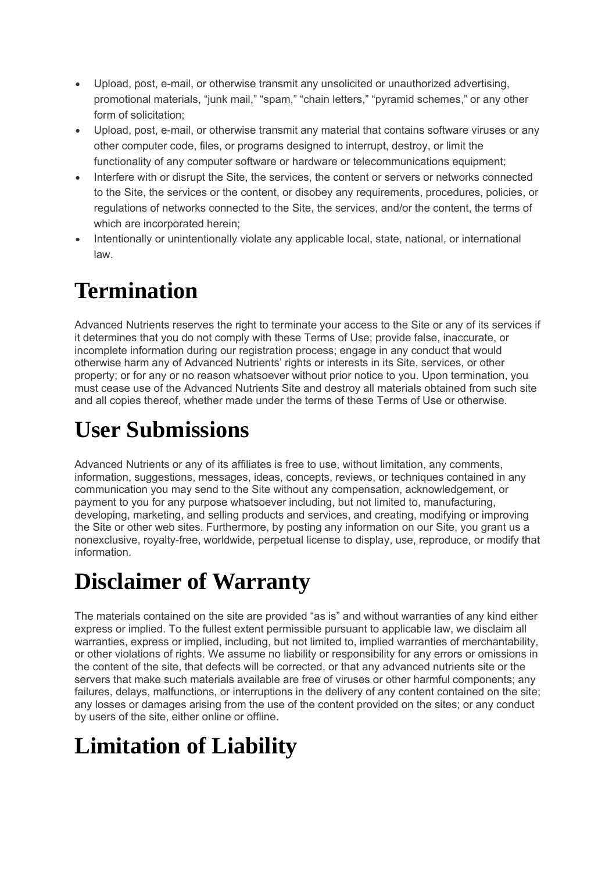- Upload, post, e-mail, or otherwise transmit any unsolicited or unauthorized advertising, promotional materials, "junk mail," "spam," "chain letters," "pyramid schemes," or any other form of solicitation;
- Upload, post, e-mail, or otherwise transmit any material that contains software viruses or any other computer code, files, or programs designed to interrupt, destroy, or limit the functionality of any computer software or hardware or telecommunications equipment;
- Interfere with or disrupt the Site, the services, the content or servers or networks connected to the Site, the services or the content, or disobey any requirements, procedures, policies, or regulations of networks connected to the Site, the services, and/or the content, the terms of which are incorporated herein;
- Intentionally or unintentionally violate any applicable local, state, national, or international law.

## **Termination**

Advanced Nutrients reserves the right to terminate your access to the Site or any of its services if it determines that you do not comply with these Terms of Use; provide false, inaccurate, or incomplete information during our registration process; engage in any conduct that would otherwise harm any of Advanced Nutrients' rights or interests in its Site, services, or other property; or for any or no reason whatsoever without prior notice to you. Upon termination, you must cease use of the Advanced Nutrients Site and destroy all materials obtained from such site and all copies thereof, whether made under the terms of these Terms of Use or otherwise.

# **User Submissions**

Advanced Nutrients or any of its affiliates is free to use, without limitation, any comments, information, suggestions, messages, ideas, concepts, reviews, or techniques contained in any communication you may send to the Site without any compensation, acknowledgement, or payment to you for any purpose whatsoever including, but not limited to, manufacturing, developing, marketing, and selling products and services, and creating, modifying or improving the Site or other web sites. Furthermore, by posting any information on our Site, you grant us a nonexclusive, royalty-free, worldwide, perpetual license to display, use, reproduce, or modify that information.

#### **Disclaimer of Warranty**

The materials contained on the site are provided "as is" and without warranties of any kind either express or implied. To the fullest extent permissible pursuant to applicable law, we disclaim all warranties, express or implied, including, but not limited to, implied warranties of merchantability, or other violations of rights. We assume no liability or responsibility for any errors or omissions in the content of the site, that defects will be corrected, or that any advanced nutrients site or the servers that make such materials available are free of viruses or other harmful components; any failures, delays, malfunctions, or interruptions in the delivery of any content contained on the site; any losses or damages arising from the use of the content provided on the sites; or any conduct by users of the site, either online or offline.

# **Limitation of Liability**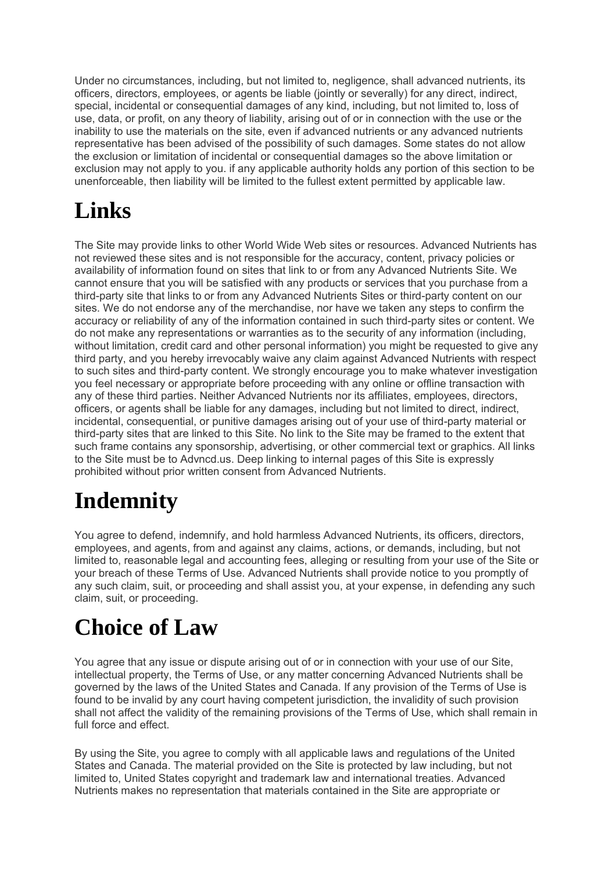Under no circumstances, including, but not limited to, negligence, shall advanced nutrients, its officers, directors, employees, or agents be liable (jointly or severally) for any direct, indirect, special, incidental or consequential damages of any kind, including, but not limited to, loss of use, data, or profit, on any theory of liability, arising out of or in connection with the use or the inability to use the materials on the site, even if advanced nutrients or any advanced nutrients representative has been advised of the possibility of such damages. Some states do not allow the exclusion or limitation of incidental or consequential damages so the above limitation or exclusion may not apply to you. if any applicable authority holds any portion of this section to be unenforceable, then liability will be limited to the fullest extent permitted by applicable law.

## **Links**

The Site may provide links to other World Wide Web sites or resources. Advanced Nutrients has not reviewed these sites and is not responsible for the accuracy, content, privacy policies or availability of information found on sites that link to or from any Advanced Nutrients Site. We cannot ensure that you will be satisfied with any products or services that you purchase from a third-party site that links to or from any Advanced Nutrients Sites or third-party content on our sites. We do not endorse any of the merchandise, nor have we taken any steps to confirm the accuracy or reliability of any of the information contained in such third-party sites or content. We do not make any representations or warranties as to the security of any information (including, without limitation, credit card and other personal information) you might be requested to give any third party, and you hereby irrevocably waive any claim against Advanced Nutrients with respect to such sites and third-party content. We strongly encourage you to make whatever investigation you feel necessary or appropriate before proceeding with any online or offline transaction with any of these third parties. Neither Advanced Nutrients nor its affiliates, employees, directors, officers, or agents shall be liable for any damages, including but not limited to direct, indirect, incidental, consequential, or punitive damages arising out of your use of third-party material or third-party sites that are linked to this Site. No link to the Site may be framed to the extent that such frame contains any sponsorship, advertising, or other commercial text or graphics. All links to the Site must be to Advncd.us. Deep linking to internal pages of this Site is expressly prohibited without prior written consent from Advanced Nutrients.

# **Indemnity**

You agree to defend, indemnify, and hold harmless Advanced Nutrients, its officers, directors, employees, and agents, from and against any claims, actions, or demands, including, but not limited to, reasonable legal and accounting fees, alleging or resulting from your use of the Site or your breach of these Terms of Use. Advanced Nutrients shall provide notice to you promptly of any such claim, suit, or proceeding and shall assist you, at your expense, in defending any such claim, suit, or proceeding.

## **Choice of Law**

You agree that any issue or dispute arising out of or in connection with your use of our Site, intellectual property, the Terms of Use, or any matter concerning Advanced Nutrients shall be governed by the laws of the United States and Canada. If any provision of the Terms of Use is found to be invalid by any court having competent jurisdiction, the invalidity of such provision shall not affect the validity of the remaining provisions of the Terms of Use, which shall remain in full force and effect.

By using the Site, you agree to comply with all applicable laws and regulations of the United States and Canada. The material provided on the Site is protected by law including, but not limited to, United States copyright and trademark law and international treaties. Advanced Nutrients makes no representation that materials contained in the Site are appropriate or